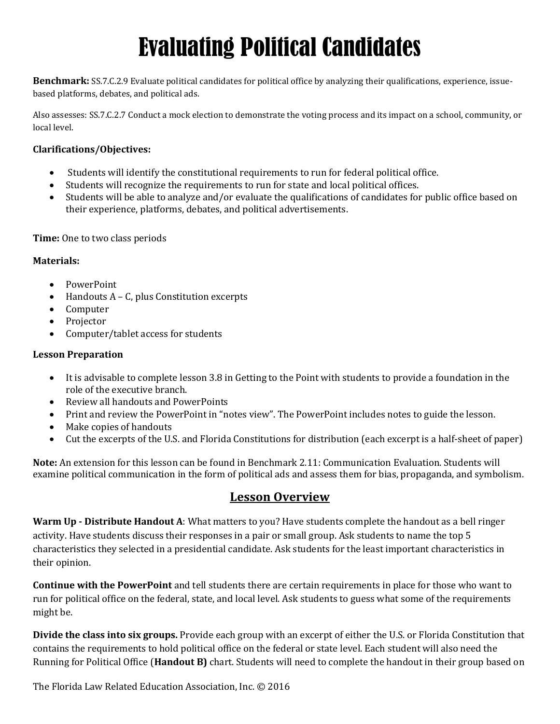# Evaluating Political Candidates

**Benchmark:** SS.7.C.2.9 Evaluate political candidates for political office by analyzing their qualifications, experience, issuebased platforms, debates, and political ads.

Also assesses: SS.7.C.2.7 Conduct a mock election to demonstrate the voting process and its impact on a school, community, or local level.

#### **Clarifications/Objectives:**

- Students will identify the constitutional requirements to run for federal political office.
- Students will recognize the requirements to run for state and local political offices.
- Students will be able to analyze and/or evaluate the qualifications of candidates for public office based on their experience, platforms, debates, and political advertisements.

#### **Time:** One to two class periods

#### **Materials:**

- PowerPoint
- Handouts A C, plus Constitution excerpts
- Computer
- Projector
- Computer/tablet access for students

#### **Lesson Preparation**

- It is advisable to complete lesson 3.8 in Getting to the Point with students to provide a foundation in the role of the executive branch.
- Review all handouts and PowerPoints
- Print and review the PowerPoint in "notes view". The PowerPoint includes notes to guide the lesson.
- Make copies of handouts
- Cut the excerpts of the U.S. and Florida Constitutions for distribution (each excerpt is a half-sheet of paper)

**Note:** An extension for this lesson can be found in Benchmark 2.11: Communication Evaluation. Students will examine political communication in the form of political ads and assess them for bias, propaganda, and symbolism.

#### **Lesson Overview**

**Warm Up - Distribute Handout A**: What matters to you? Have students complete the handout as a bell ringer activity. Have students discuss their responses in a pair or small group. Ask students to name the top 5 characteristics they selected in a presidential candidate. Ask students for the least important characteristics in their opinion.

**Continue with the PowerPoint** and tell students there are certain requirements in place for those who want to run for political office on the federal, state, and local level. Ask students to guess what some of the requirements might be.

**Divide the class into six groups.** Provide each group with an excerpt of either the U.S. or Florida Constitution that contains the requirements to hold political office on the federal or state level. Each student will also need the Running for Political Office (**Handout B)** chart. Students will need to complete the handout in their group based on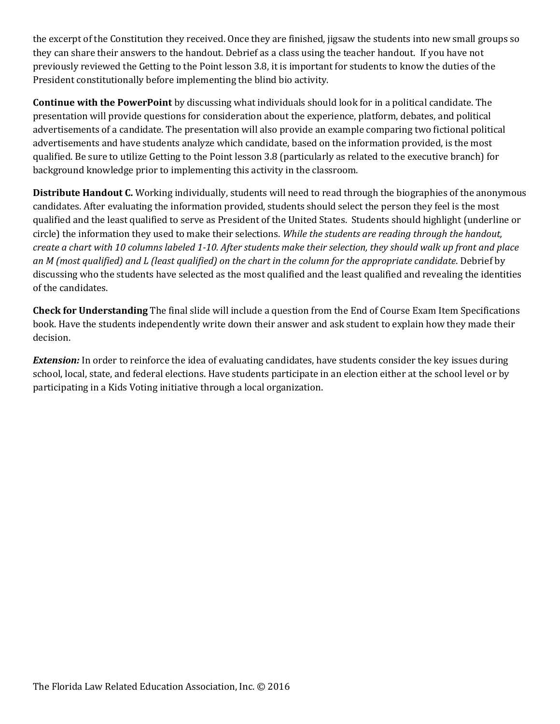the excerpt of the Constitution they received. Once they are finished, jigsaw the students into new small groups so they can share their answers to the handout. Debrief as a class using the teacher handout. If you have not previously reviewed the Getting to the Point lesson 3.8, it is important for students to know the duties of the President constitutionally before implementing the blind bio activity.

**Continue with the PowerPoint** by discussing what individuals should look for in a political candidate. The presentation will provide questions for consideration about the experience, platform, debates, and political advertisements of a candidate. The presentation will also provide an example comparing two fictional political advertisements and have students analyze which candidate, based on the information provided, is the most qualified. Be sure to utilize Getting to the Point lesson 3.8 (particularly as related to the executive branch) for background knowledge prior to implementing this activity in the classroom.

**Distribute Handout C.** Working individually, students will need to read through the biographies of the anonymous candidates. After evaluating the information provided, students should select the person they feel is the most qualified and the least qualified to serve as President of the United States. Students should highlight (underline or circle) the information they used to make their selections. *While the students are reading through the handout, create a chart with 10 columns labeled 1-10. After students make their selection, they should walk up front and place an M (most qualified) and L (least qualified) on the chart in the column for the appropriate candidate*. Debrief by discussing who the students have selected as the most qualified and the least qualified and revealing the identities of the candidates.

**Check for Understanding** The final slide will include a question from the End of Course Exam Item Specifications book. Have the students independently write down their answer and ask student to explain how they made their decision.

*Extension:* In order to reinforce the idea of evaluating candidates, have students consider the key issues during school, local, state, and federal elections. Have students participate in an election either at the school level or by participating in a Kids Voting initiative through a local organization.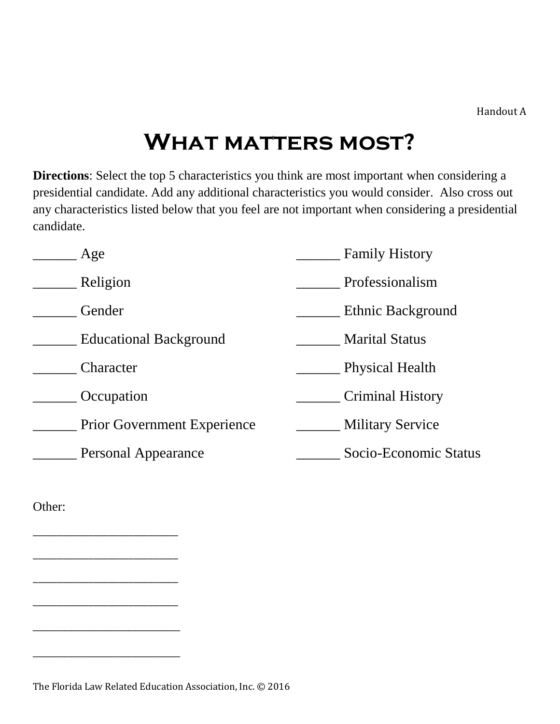### **What matters most?**

**Directions**: Select the top 5 characteristics you think are most important when considering a presidential candidate. Add any additional characteristics you would consider. Also cross out any characteristics listed below that you feel are not important when considering a presidential candidate.

| Age                                | <b>Family History</b>   |
|------------------------------------|-------------------------|
| Religion                           | Professionalism         |
| Gender                             | Ethnic Background       |
| <b>Educational Background</b>      | <b>Marital Status</b>   |
| Character                          | <b>Physical Health</b>  |
| Occupation                         | <b>Criminal History</b> |
| <b>Prior Government Experience</b> | <b>Military Service</b> |
| Personal Appearance                | Socio-Economic Status   |
|                                    |                         |

Other:

\_\_\_\_\_\_\_\_\_\_\_\_\_\_\_\_\_\_\_\_\_\_\_\_\_\_\_\_\_

\_\_\_\_\_\_\_\_\_\_\_\_\_\_\_\_\_\_\_\_\_\_\_\_\_\_\_\_\_

\_\_\_\_\_\_\_\_\_\_\_\_\_\_\_\_\_\_\_\_\_\_\_\_\_\_\_\_\_

\_\_\_\_\_\_\_\_\_\_\_\_\_\_\_\_\_\_\_\_\_\_\_\_\_\_\_\_\_

\_\_\_\_\_\_\_\_\_\_\_\_\_\_\_\_\_\_\_\_\_\_\_

\_\_\_\_\_\_\_\_\_\_\_\_\_\_\_\_\_\_\_\_\_\_\_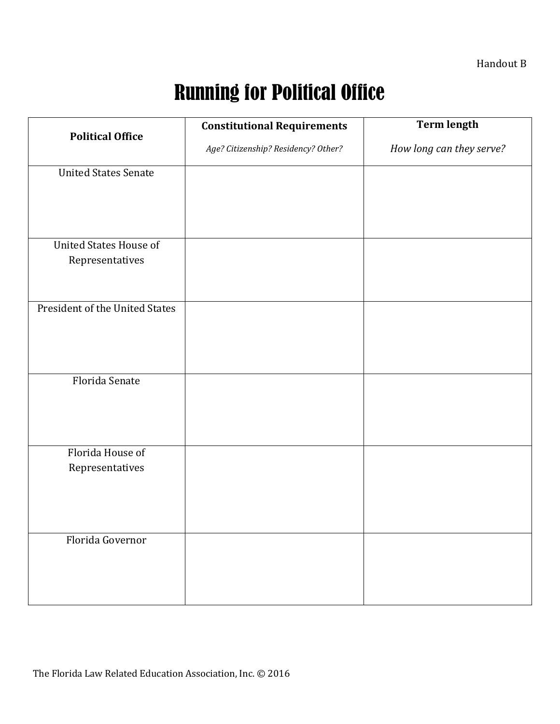Handout B

## Running for Political Office

|                                | <b>Constitutional Requirements</b>  | <b>Term length</b>       |
|--------------------------------|-------------------------------------|--------------------------|
| <b>Political Office</b>        | Age? Citizenship? Residency? Other? | How long can they serve? |
| <b>United States Senate</b>    |                                     |                          |
|                                |                                     |                          |
|                                |                                     |                          |
|                                |                                     |                          |
| <b>United States House of</b>  |                                     |                          |
| Representatives                |                                     |                          |
|                                |                                     |                          |
| President of the United States |                                     |                          |
|                                |                                     |                          |
|                                |                                     |                          |
|                                |                                     |                          |
| Florida Senate                 |                                     |                          |
|                                |                                     |                          |
|                                |                                     |                          |
|                                |                                     |                          |
| Florida House of               |                                     |                          |
| Representatives                |                                     |                          |
|                                |                                     |                          |
|                                |                                     |                          |
|                                |                                     |                          |
| Florida Governor               |                                     |                          |
|                                |                                     |                          |
|                                |                                     |                          |
|                                |                                     |                          |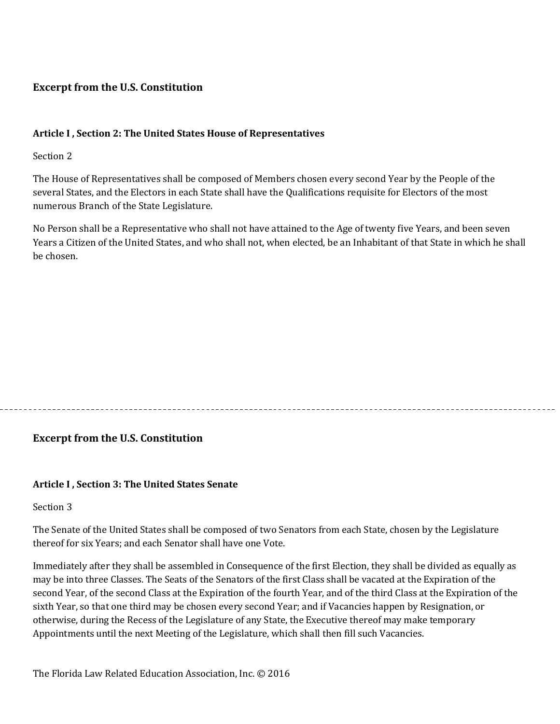#### **Excerpt from the U.S. Constitution**

#### **Article I , Section 2: The United States House of Representatives**

Section 2

The House of Representatives shall be composed of Members chosen every second Year by the People of the several States, and the Electors in each State shall have the Qualifications requisite for Electors of the most numerous Branch of the State Legislature.

No Person shall be a Representative who shall not have attained to the Age of twenty five Years, and been seven Years a Citizen of the United States, and who shall not, when elected, be an Inhabitant of that State in which he shall be chosen.

#### **Excerpt from the U.S. Constitution**

#### **Article I , Section 3: The United States Senate**

Section 3

The Senate of the United States shall be composed of two Senators from each State, chosen by the Legislature thereof for six Years; and each Senator shall have one Vote.

Immediately after they shall be assembled in Consequence of the first Election, they shall be divided as equally as may be into three Classes. The Seats of the Senators of the first Class shall be vacated at the Expiration of the second Year, of the second Class at the Expiration of the fourth Year, and of the third Class at the Expiration of the sixth Year, so that one third may be chosen every second Year; and if Vacancies happen by Resignation, or otherwise, during the Recess of the Legislature of any State, the Executive thereof may make temporary Appointments until the next Meeting of the Legislature, which shall then fill such Vacancies.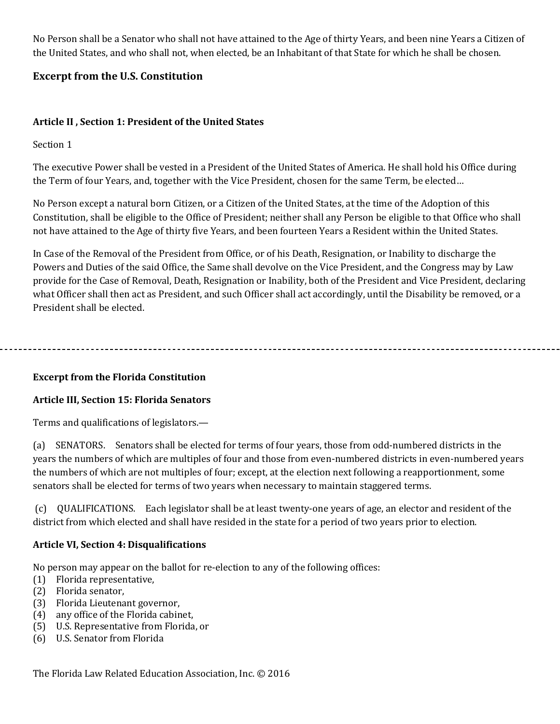No Person shall be a Senator who shall not have attained to the Age of thirty Years, and been nine Years a Citizen of the United States, and who shall not, when elected, be an Inhabitant of that State for which he shall be chosen.

#### **Excerpt from the U.S. Constitution**

#### **Article II , Section 1: President of the United States**

Section 1

The executive Power shall be vested in a President of the United States of America. He shall hold his Office during the Term of four Years, and, together with the Vice President, chosen for the same Term, be elected…

No Person except a natural born Citizen, or a Citizen of the United States, at the time of the Adoption of this Constitution, shall be eligible to the Office of President; neither shall any Person be eligible to that Office who shall not have attained to the Age of thirty five Years, and been fourteen Years a Resident within the United States.

In Case of the Removal of the President from Office, or of his Death, Resignation, or Inability to discharge the Powers and Duties of the said Office, the Same shall devolve on the Vice President, and the Congress may by Law provide for the Case of Removal, Death, Resignation or Inability, both of the President and Vice President, declaring what Officer shall then act as President, and such Officer shall act accordingly, until the Disability be removed, or a President shall be elected.

**Excerpt from the Florida Constitution**

#### **Article III, Section 15: Florida Senators**

Terms and qualifications of legislators.—

(a) SENATORS. Senators shall be elected for terms of four years, those from odd-numbered districts in the years the numbers of which are multiples of four and those from even-numbered districts in even-numbered years the numbers of which are not multiples of four; except, at the election next following a reapportionment, some senators shall be elected for terms of two years when necessary to maintain staggered terms.

(c) QUALIFICATIONS. Each legislator shall be at least twenty-one years of age, an elector and resident of the district from which elected and shall have resided in the state for a period of two years prior to election.

#### **Article VI, Section 4: Disqualifications**

No person may appear on the ballot for re-election to any of the following offices:

- (1) Florida representative,
- (2) Florida senator,
- (3) Florida Lieutenant governor,
- (4) any office of the Florida cabinet,
- (5) U.S. Representative from Florida, or
- (6) U.S. Senator from Florida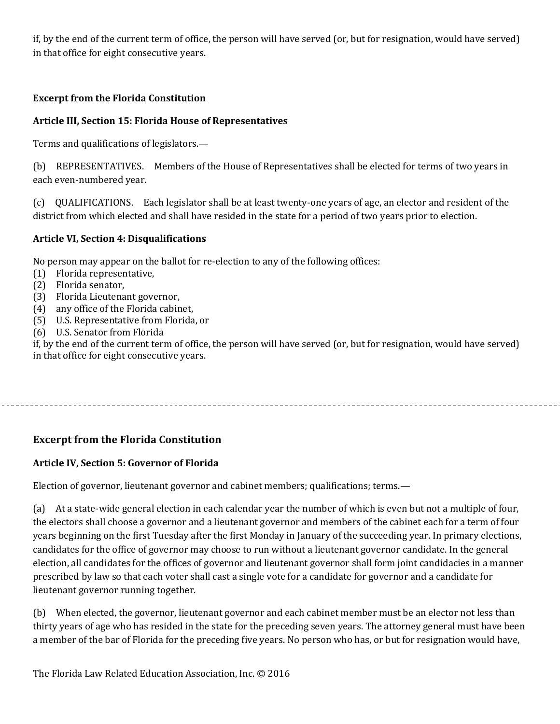if, by the end of the current term of office, the person will have served (or, but for resignation, would have served) in that office for eight consecutive years.

#### **Excerpt from the Florida Constitution**

#### **Article III, Section 15: Florida House of Representatives**

Terms and qualifications of legislators.—

(b) REPRESENTATIVES. Members of the House of Representatives shall be elected for terms of two years in each even-numbered year.

(c) QUALIFICATIONS. Each legislator shall be at least twenty-one years of age, an elector and resident of the district from which elected and shall have resided in the state for a period of two years prior to election.

#### **Article VI, Section 4: Disqualifications**

No person may appear on the ballot for re-election to any of the following offices:

- (1) Florida representative,
- (2) Florida senator,
- (3) Florida Lieutenant governor,
- (4) any office of the Florida cabinet,
- (5) U.S. Representative from Florida, or
- (6) U.S. Senator from Florida

if, by the end of the current term of office, the person will have served (or, but for resignation, would have served) in that office for eight consecutive years.

#### **Excerpt from the Florida Constitution**

#### **Article IV, Section 5: Governor of Florida**

Election of governor, lieutenant governor and cabinet members; qualifications; terms.—

(a) At a state-wide general election in each calendar year the number of which is even but not a multiple of four, the electors shall choose a governor and a lieutenant governor and members of the cabinet each for a term of four years beginning on the first Tuesday after the first Monday in January of the succeeding year. In primary elections, candidates for the office of governor may choose to run without a lieutenant governor candidate. In the general election, all candidates for the offices of governor and lieutenant governor shall form joint candidacies in a manner prescribed by law so that each voter shall cast a single vote for a candidate for governor and a candidate for lieutenant governor running together.

(b) When elected, the governor, lieutenant governor and each cabinet member must be an elector not less than thirty years of age who has resided in the state for the preceding seven years. The attorney general must have been a member of the bar of Florida for the preceding five years. No person who has, or but for resignation would have,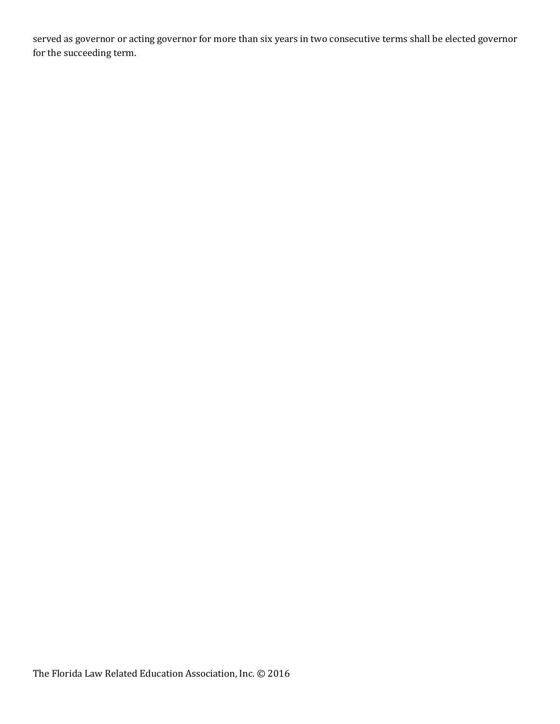served as governor or acting governor for more than six years in two consecutive terms shall be elected governor for the succeeding term.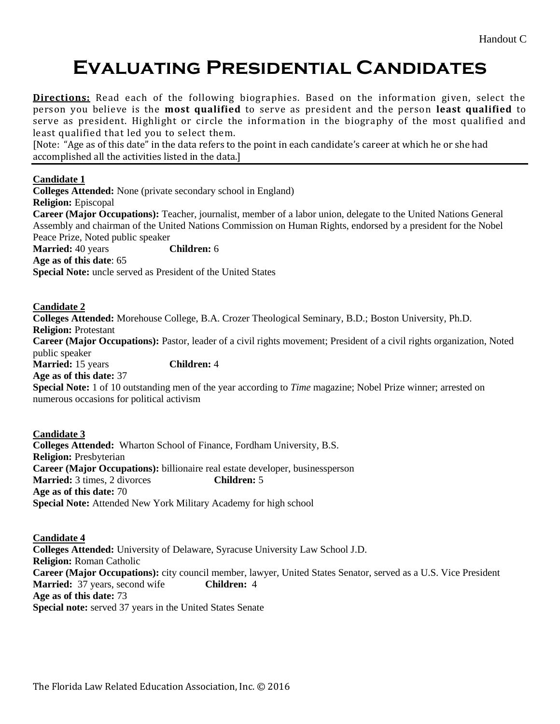### **Evaluating Presidential Candidates**

**Directions:** Read each of the following biographies. Based on the information given, select the person you believe is the **most qualified** to serve as president and the person **least qualified** to serve as president. Highlight or circle the information in the biography of the most qualified and least qualified that led you to select them.

[Note: "Age as of this date" in the data refers to the point in each candidate's career at which he or she had accomplished all the activities listed in the data.]

#### **Candidate 1**

**Colleges Attended:** None (private secondary school in England) **Religion:** Episcopal **Career (Major Occupations):** Teacher, journalist, member of a labor union, delegate to the United Nations General Assembly and chairman of the United Nations Commission on Human Rights, endorsed by a president for the Nobel Peace Prize, Noted public speaker **Married:** 40 years **Children:** 6 **Age as of this date**: 65 **Special Note:** uncle served as President of the United States

#### **Candidate 2**

**Colleges Attended:** Morehouse College, B.A. Crozer Theological Seminary, B.D.; Boston University, Ph.D. **Religion:** Protestant **Career (Major Occupations):** Pastor, leader of a civil rights movement; President of a civil rights organization, Noted public speaker **Married:** 15 years **Children:** 4 **Age as of this date:** 37 **Special Note:** 1 of 10 outstanding men of the year according to *Time* magazine; Nobel Prize winner; arrested on numerous occasions for political activism

**Candidate 3 Colleges Attended:** Wharton School of Finance, Fordham University, B.S. **Religion:** Presbyterian **Career (Major Occupations):** billionaire real estate developer, businessperson **Married:** 3 times, 2 divorces **Children:** 5 **Age as of this date:** 70 **Special Note:** Attended New York Military Academy for high school

**Candidate 4 Colleges Attended:** University of Delaware, Syracuse University Law School J.D. **Religion:** Roman Catholic **Career (Major Occupations):** city council member, lawyer, United States Senator, served as a U.S. Vice President **Married:** 37 years, second wife **Children:** 4 **Age as of this date:** 73 **Special note:** served 37 years in the United States Senate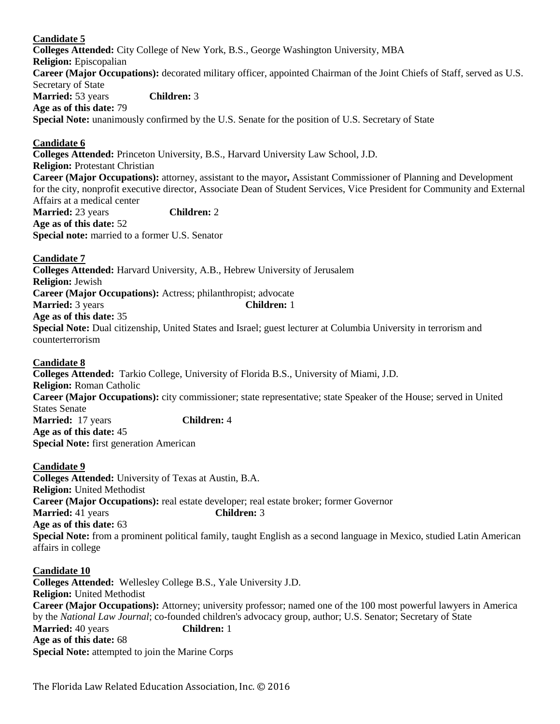#### **Candidate 5**

**Colleges Attended:** City College of New York, B.S., George Washington University, MBA **Religion:** Episcopalian **Career (Major Occupations):** decorated military officer, appointed Chairman of the Joint Chiefs of Staff, served as U.S. Secretary of State **Married:** 53 years **Children:** 3 **Age as of this date:** 79 **Special Note:** unanimously confirmed by the U.S. Senate for the position of U.S. Secretary of State

#### **Candidate 6**

**Colleges Attended:** Princeton University, B.S., Harvard University Law School, J.D. **Religion:** Protestant Christian **Career (Major Occupations):** attorney, assistant to the mayor**,** Assistant Commissioner of Planning and Development for the city, nonprofit executive director, Associate Dean of Student Services, Vice President for Community and External Affairs at a medical center **Married:** 23 years **Children:** 2 **Age as of this date:** 52 **Special note:** married to a former U.S. Senator

**Candidate 7 Colleges Attended:** Harvard University, A.B., Hebrew University of Jerusalem **Religion:** Jewish **Career (Major Occupations):** Actress; philanthropist; advocate **Married:** 3 years **Children:** 1 **Age as of this date:** 35 **Special Note:** Dual citizenship, United States and Israel; guest lecturer at Columbia University in terrorism and counterterrorism

#### **Candidate 8**

**Colleges Attended:** Tarkio College, University of Florida B.S., University of Miami, J.D. **Religion:** Roman Catholic **Career (Major Occupations):** city commissioner; state representative; state Speaker of the House; served in United States Senate **Married:** 17 years **Children:** 4 **Age as of this date:** 45 **Special Note:** first generation American

#### **Candidate 9**

**Colleges Attended:** University of Texas at Austin, B.A. **Religion:** United Methodist **Career (Major Occupations):** real estate developer; real estate broker; former Governor **Married:** 41 years **Children:** 3 **Age as of this date:** 63 **Special Note:** from a prominent political family, taught English as a second language in Mexico, studied Latin American affairs in college

#### **Candidate 10**

**Colleges Attended:** Wellesley College B.S., Yale University J.D. **Religion:** United Methodist **Career (Major Occupations):** Attorney; university professor; named one of the 100 most powerful lawyers in America by the *National Law Journal*; co-founded children's advocacy group, author; U.S. Senator; Secretary of State **Married:** 40 years **Children:** 1 **Age as of this date:** 68 **Special Note:** attempted to join the Marine Corps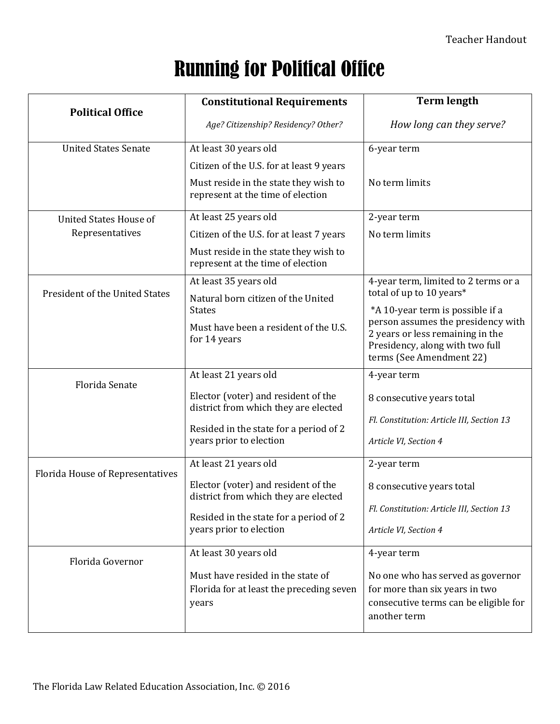## Running for Political Office

|                                  | <b>Constitutional Requirements</b>                                                                                                               | <b>Term length</b>                                                                                                                                                        |
|----------------------------------|--------------------------------------------------------------------------------------------------------------------------------------------------|---------------------------------------------------------------------------------------------------------------------------------------------------------------------------|
| <b>Political Office</b>          | Age? Citizenship? Residency? Other?                                                                                                              | How long can they serve?                                                                                                                                                  |
| <b>United States Senate</b>      | At least 30 years old                                                                                                                            | 6-year term                                                                                                                                                               |
|                                  | Citizen of the U.S. for at least 9 years                                                                                                         |                                                                                                                                                                           |
|                                  | Must reside in the state they wish to<br>represent at the time of election                                                                       | No term limits                                                                                                                                                            |
| <b>United States House of</b>    | At least 25 years old                                                                                                                            | 2-year term                                                                                                                                                               |
| Representatives                  | Citizen of the U.S. for at least 7 years                                                                                                         | No term limits                                                                                                                                                            |
|                                  | Must reside in the state they wish to<br>represent at the time of election                                                                       |                                                                                                                                                                           |
|                                  | At least 35 years old                                                                                                                            | 4-year term, limited to 2 terms or a                                                                                                                                      |
| President of the United States   | Natural born citizen of the United                                                                                                               | total of up to 10 years*                                                                                                                                                  |
|                                  | <b>States</b><br>Must have been a resident of the U.S.<br>for 14 years                                                                           | *A 10-year term is possible if a<br>person assumes the presidency with<br>2 years or less remaining in the<br>Presidency, along with two full<br>terms (See Amendment 22) |
| Florida Senate                   | At least 21 years old                                                                                                                            | 4-year term                                                                                                                                                               |
|                                  | Elector (voter) and resident of the<br>district from which they are elected<br>Resided in the state for a period of 2<br>years prior to election | 8 consecutive years total<br>Fl. Constitution: Article III, Section 13<br>Article VI, Section 4                                                                           |
|                                  | At least 21 years old                                                                                                                            | 2-year term                                                                                                                                                               |
| Florida House of Representatives | Elector (voter) and resident of the<br>district from which they are elected<br>Resided in the state for a period of 2<br>years prior to election | 8 consecutive years total<br>Fl. Constitution: Article III, Section 13<br>Article VI, Section 4                                                                           |
| Florida Governor                 | At least 30 years old                                                                                                                            | 4-year term                                                                                                                                                               |
|                                  | Must have resided in the state of<br>Florida for at least the preceding seven<br>years                                                           | No one who has served as governor<br>for more than six years in two<br>consecutive terms can be eligible for<br>another term                                              |